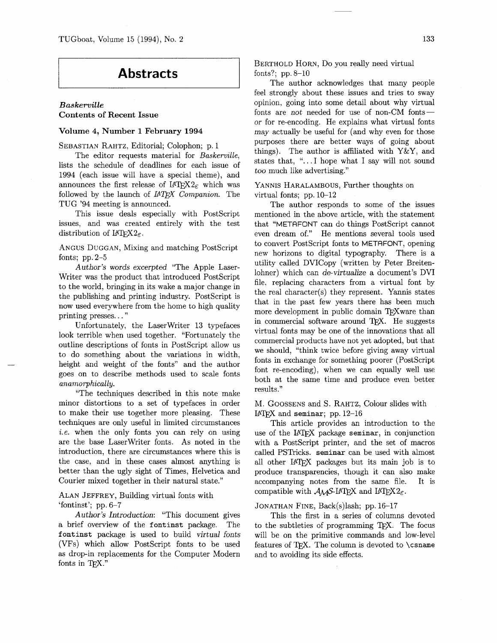### **Abstracts**

### *Baskerville*  **Contents of Recent Issue**

#### **Volume 4, Number 1 February 1994**

SEBASTIAN RAHTZ, Editorial; Colophon; p. 1

The editor requests material for Baskerville, lists the schedule of deadlines for each issue of 1994 (each issue will have a special theme), and announces the first release of  $IATFX2<sub>F</sub>$  which was followed by the launch of *IATFX Companion*. The TUG '94 meeting is announced.

This issue deals especially with PostScript issues, and was created entirely with the test distribution of  $\text{LATEX2}_{\epsilon}$ .

ANGUS DUGGAN, Mixing and matching PostScript fonts; pp. 2-5

Author's words excerpted "The Apple Laser-Writer was the product that introduced PostScript to the world, bringing in its wake a major change in the publishing and printing industry. PostScript is now used everywhere from the home to high quality printing presses. . . "

Unfortunately, the LaserWriter 13 typefaces look terrible when used together. "Fortunately the outline descriptions of fonts in PostScript allow us to do something about the variations in width, height and weight of the fonts" and the author goes on to describe methods used to scale fonts anamorphically.

"The techniques described in this note make minor distortions to a set of typefaces in order to make their use together more pleasing. These techniques are only useful in limited circumstances i.e. when the only fonts you can rely on using are the base LaserWriter fonts. As noted in the introduction, there are circumstances where this is the case, and in these cases almost anything is better than the ugly sight of Times, Helvetica and Courier mixed together in their natural state."

ALAN JEFFREY, Building virtual fonts with 'fontinst'; pp. 6-7

Author's Introduction: "This document gives a brief overview of the fontinst package. The fontinst package is used to build virtual fonts (VFs) which allow PostScript fonts to be used as drop-in replacements for the Computer Modern fonts in T $EX."$ 

BERTHOLD HORN, Do you really need virtual fonts?; pp. 8-10

The author acknowledges that many people feel strongly about these issues and tries to sway opinion, going into some detail about why virtual fonts are not needed for use of non-CM fonts $$ or for re-encoding. He explains what virtual fonts may actually be useful for (and why even for those purposes there are better ways of going about things). The author is affiliated with  $Y \& Y$ , and states that, ". . .I hope what I say will not sound too much like advertising."

YANNIS HARALAMBOUS, Further thoughts on virtual fonts; pp. 10-12

The author responds to some of the issues mentioned in the above article, with the statement that "METAFONT can do things PostScript cannot even dream of." He mentions several tools used to convert PostScript fonts to METAFONT, opening new horizons to digital typography. There is a utility called DVICopy (written by Peter Breitenlohner) which can de-virtualize a document's DVI file, replacing characters from a virtual font by the real character(s) they represent. Yannis states that in the past few years there has been much more development in public domain TFXware than in commercial software around T<sub>F</sub>X. He suggests virtual fonts may be one of the innovations that all commercial products have not yet adopted, but that we should, "think twice before giving away virtual fonts in exchange for something poorer (PostScript font re-encoding), when we can equally well use both at the same time and produce even better results."

M. GOOSSENS and S. RAHTZ, Coiour slides with LAT<sub>F</sub>X and seminar; pp.  $12-16$ 

This article provides an introduction to the use of the IAT<sub>F</sub>X package seminar, in conjunction with a PostScript printer, and the set of macros called PSTricks. seminar can be used with almost all other IATFX packages but its main job is to produce transparencies, though it can also make accompanying notes from the same file. It is compatible with  $A_{\mathcal{M}}S$ -IAT<sub>E</sub>X and IAT<sub>E</sub>X<sub>2</sub>.

#### JONATHAN FINE, Back(s)lash; pp. 16-17

This the first in a series of columns devoted to the subtleties of programming T<sub>F</sub>X. The focus will be on the primitive commands and low-level features of TFX. The column is devoted to  $\cosh$ and to avoiding its side effects.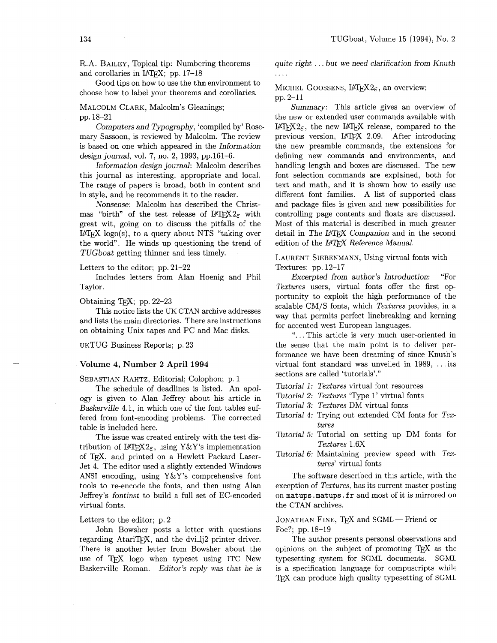R. A. BAILEY, Topical tip: Numbering theorems and corollaries in LAT<sub>F</sub>X; pp.  $17-18$ 

Good tips on how to use the thm environment to choose how to label your theorems and corollaries.

#### MALCOLM CLARK, Malcolm's Gleanings;

pp. 18-21

Computers and Typography, 'compiled by' Rosemary Sassoon, is reviewed by Malcolm. The review is based on one which appeared in the Information design journal, vol. 7, no. 2, 1993, pp.161-6.

Information design journal: Malcolm describes this journal as interesting, appropriate and local. The range of papers is broad, both in content and in style, and he recommends it to the reader.

Nonsense: Malcolm has described the Christmas "birth" of the test release of  $\text{LATEX2}_{\epsilon}$  with great wit, going on to discuss the pitfalls of the IATEX logo(s), to a query about NTS "taking over the world". He winds up questioning the trend of TUGboat getting thinner and less timely.

Letters to the editor; pp. 21-22

Includes letters from Alan Hoenig and Phil Taylor.

Obtaining T<sub>F</sub>X; pp. 22-23

This notice lists the UK CTAN archive addresses and lists the main directories. There are instructions on obtaining Unix tapes and PC and Mac disks.

UKTUG Business Reports; p. 23

#### Volume 4, Number 2 April 1994

SEBASTIAN RAHTZ, Editorial; Colophon; p. 1

The schedule of deadlines is listed. An apology is given to Alan Jeffrey about his article in Baskerville 4.1, in which one of the font tables suffered from font-encoding problems. The corrected table is included here.

The issue was created entirely with the test distribution of  $\text{LATEX2}_{\varepsilon}$ , using Y&Y's implementation of TEX, and printed on a Hewlett Packard Laser-Jet 4. The editor used a slightly extended Windows ANSI encoding, using  $Y&Y's$  comprehensive font tools to re-encode the fonts, and then using Alan Jeffrey's fontinst to build a full set of EC-encoded virtual fonts.

Letters to the editor; p. 2

John Bowsher posts a letter with questions regarding AtariTFX, and the dvili<sub>2</sub> printer driver. There is another letter from Bowsher about the use of TFX logo when typeset using ITC New Baskerville Roman. Editor's reply was that he is quite right . . . but we need clarification from Knuth ....

#### MICHEL GOOSSENS,  $IATFX2_{\epsilon}$ , an overview; pp. 2-11

Summary: This article gives an overview of the new or extended user commands available with LAT<sub>F</sub>X<sub>2 $\epsilon$ </sub>, the new LAT<sub>F</sub>X<sub>2</sub> release, compared to the previous version, IATFX 2.09. After introducing the new preamble commands, the extensions for defining new commands and environments, and handling length and boxes are discussed. The new font selection commands are explained, both for text and math, and it is shown how to easily use different font families. A list of supported class and package files is given and new possibilities for controlling page contents and floats are discussed. Most of this material is described in much greater detail in The IATFX Companion and in the second edition of the IATFX Reference Manual.

LAURENT SIEBENMANN, Using virtual fonts with Textures; pp. 12-17

Excerpted from author's Introduction: "For Textures users, virtual fonts offer the first opportunity to exploit the high performance of the scalable CM/S fonts, which Textures provides, in a way that permits perfect linebreaking and kerning for accented west European languages.

". . .This article is very much user-oriented in the sense that the main point is to deliver performance we have been dreaming of since Knuth's virtual font standard was unveiled in 1989, . . . its sections are called 'tutorials'."

- Tutorial 1: Textures virtual font resources
- Tutorial 2: Textures 'Type 1' virtual fonts
- Tutorial **3:** Textures DM virtual fonts
- Tutorial 4: Trying out extended CM fonts for Textures
- Tutorial *5:* Tutorial on setting up DM fonts for Textures 1.6X
- Tutorial 6: Maintaining preview speed with Textures' virtual fonts

The software described in this article, with the exception of Textures, has its current master posting on matups. matups. fr and most of it is mirrored on the CTAN archives.

#### JONATHAN FINE, TFX and SGML-Friend or Foe?; pp. 18-19

The author presents personal observations and opinions on the subject of promoting TEX as the typesetting system for SGML documents. SGML is a specification language for compuscripts while TFX can produce high quality typesetting of SGML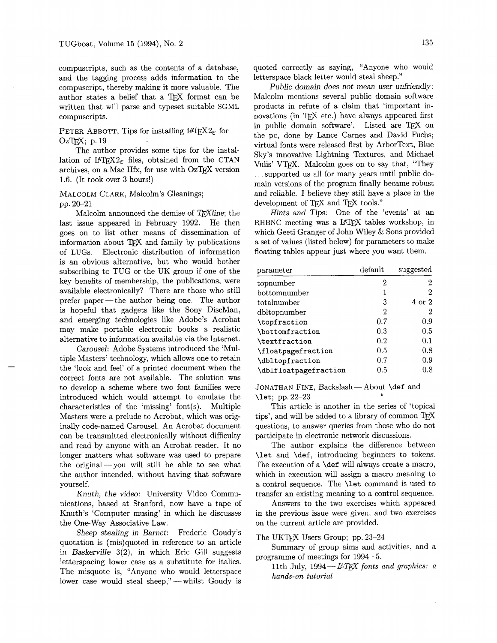and the tagging process adds information to the letterspace black letter would steal sheep."<br>
compuscript, thereby making it more valuable. The Public domain does not mean user unfriendly: compuscript, thereby making it more valuable. The author states a belief that a T<sub>E</sub>X format can be Malcolm mentions several public domain software written that will parse and typeset suitable SGML products in refute of a claim that 'important inwritten that will parse and typeset suitable SGML compuscripts. The compuscripts of the compuscripts of the compuscripts. The compuscripts of the compuscripts of the compuscripts of the compuscripts of the compuscripts of the compuscripts.

# PETER ABBOTT, Tips for installing  $\text{LATEX2}_{\epsilon}$  for  $\text{OzTEX}$ ; p. 19

The author provides some tips for the installation of  $\text{LATEX2}_{\varepsilon}$  files, obtained from the CTAN archives, on a Mac IIfx, for use with  $OzT<sub>F</sub>X$  version 1.6. (It took over **3** hours!)

#### MALCOLM CLARK, Malcolm's Gleanings; pp. 20-21

Malcolm announced the demise of  $T_F X$ line; the last issue appeared in February 1992. He then goes on to list other means of dissemination of information about  $T_{F}X$  and family by publications of LUGS. Electronic distribution of information is an obvious alternative, but who would bother subscribing to TUG or the UK group if one of the key benefits of membership, the publications, were available electronically? There are those who still prefer paper-the author being one. The author is hopeful that gadgets like the Sony DiscMan, and emerging technologies like Adobe's Acrobat may make portable electronic books a realistic alternative to information available via the Internet.

Carousel: Adobe Systems introduced the 'Multiple Masters' technology, which allows one to retain the 'look and feel' of a printed document when the correct fonts are not available. The solution was to develop a scheme where two font families were introduced which would attempt to emulate the characteristics of the 'missing'  $font(s)$ . Multiple Masters were a prelude to Acrobat, which was originally code-named Carousel. An Acrobat document can be transmitted electronically without difficulty and read by anyone with an Acrobat reader. It no longer matters what software was used to prepare the original-you will still be able to see what the author intended, without having that software yourself.

Knuth, the video: University Video Communications, based at Stanford, now have a tape of Knuth's 'Computer musing' in which he discusses the One-Way Associative Law.

Sheep stealing in Barnet: Frederic Goudy's quotation is (mis)quoted in reference to an article in Baskerville 3(2), in which Eric Gill suggests letterspacing lower case as a substitute for italics. The misquote is, "Anyone who would letterspace lower case would steal sheep," - whilst Goudy is

compuscripts, such as the contents of a database, quoted correctly as saying, "Anyone who would and the tagging process adds information to the letterspace black letter would steal sheep."

in public domain software'. Listed are TEX on the pc, done by Lance Carnes and David Fuchs; virtual fonts were released first by ArborText, Blue Sky's innovative Lightning Textures, and Michael Vulis' VTFX. Malcolm goes on to say that, "They . . .supported us all for many years until public domain versions of the program finally became robust and reliable. I believe they still have a place in the development of TFX and TFX tools."

Hints and Tips: One of the 'events' at an RHBNC meeting was a LAT<sub>F</sub>X tables workshop, in which Geeti Granger of John Wiley & Sons provided a set of values (listed below) for parameters to make floating tables appear just where you want them.

| parameter                     | default | suggested |
|-------------------------------|---------|-----------|
| topnumber                     | 2       | 2         |
| bottomnumber                  | 1       | 2         |
| totalnumber                   | 3       | 4 or 2    |
| dbltopnumber                  | 2       | 2         |
| \topfraction                  | 0.7     | 0.9       |
| <i><b>\bottomfraction</b></i> | 0.3     | 0.5       |
| \textfraction                 | 0.2     | 0.1       |
| \floatpagefraction            | 0.5     | 0.8       |
| \dbltopfraction               | 0.7     | 0.9       |
| \dblfloatpagefraction         | 0.5     | $0.8\,$   |

JONATHAN FINE, Backslash - About \def and \let; pp. 22-23 *<sup>8</sup>*

This article is another in the series of 'topical tips', and will be added to a library of common  $T_{E}X$ questions, to answer queries from those who do not participate in electronic network discussions.

The author explains the difference between \let and \def, introducing beginners to tokens. The execution of a \def will always create a macro, which in execution will assign a macro meaning to a control sequence. The \let command is used to transfer an existing meaning to a control sequence.

Answers to the two exercises which appeared in the previous issue were given, and two exercises on the current article are provided.

The UKTFX Users Group; pp. 23-24

Summary of group aims and activities, and a programme of meetings for 1994 - 5.

11th July,  $1994 - IATEX$  fonts and graphics: a *hands-on tutorial*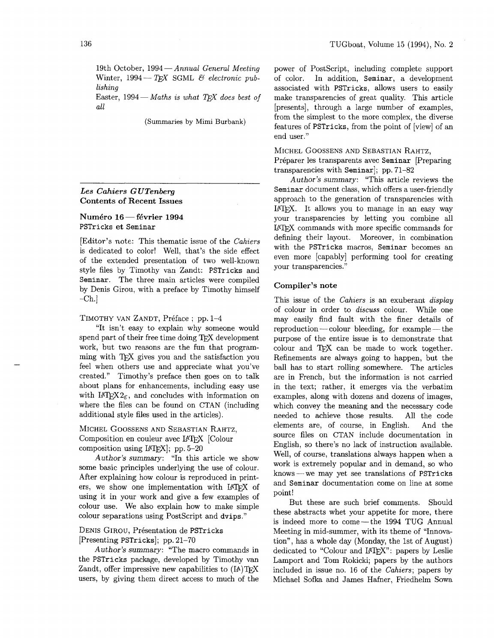19th October,  $1994 - Annual General Meeting$ Winter,  $1994 - TFX$  SGML & electronic publishing

Easter,  $1994 - Maths$  is what TFX does best of all

(Summaries by Mimi Burbank)

## *Les* **Cahiers** G *UTenberg*

## Eco Camero & Scribery<br>Contents of Recent Issues<br><sup>DSTricks</sup> et Seminar PSTricks et Seminar

[Editor's note: This thematic issue of the Cahiers is dedicated to color! Well, that's the side effect of the extended presentation of two well-known style files by Timothy van Zandt: PSTricks and Seminar. The three main articles were compiled by Denis Girou, with a preface by Timothy himself  $-**Ch.**$ Fund of sommations of sommatic issue of the *Cahiers*<br>is dedicated to color! Well, that's the side effect<br>of the extended presentation of two well-known<br>style files by Timothy van Zandt: PSTricks and<br>Seminar. The three mai

TIMOTHY VAN ZANDT, Préface ; pp. 1-4

"It isn't easy to explain why someone would work, but two reasons are the fun that programming with TEX gives you and the satisfaction you feel when others use and appreciate what you've created." Timothy's preface then goes on to talk about plans for enhancements, including easy use with  $14T_{\rm E}X_{2\epsilon}$ , and concludes with information on where the files can be found on CTAN (including additional style files used in the articles).

MICHEL GOOSSENS AND SEBASTIAN RAHTZ, Composition en couleur avec LATFX [Colour composition using  $[ATFX]$ ; pp. 5-20

Author's summary: "In this article we show some basic principles underlying the use of colour. After explaining how colour is reproduced in printers, we show one implementation with LATFX of using it in your work and give a few examples of colour use. We also explain how to make simple colour separations using PostScript and dvips."

#### DENIS GIROU, Présentation de PSTricks  $[Presenting PSTricks]; pp. 21-70$

Author's summary: "The macro commands in the PSTricks package, developed by Timothy van Zandt, offer impressive new capabilities to  $(IA)$ TEX users, by giving them direct access to much of the power of Postscript, including complete support of color. In addition, Seminar, a development associated with PSTricks, allows users to easily make transparencies of great quality. This article [presents], through a large number of examples, from the simplest to the more complex, the diverse features of PSTricks, from the point of [view] of an end user."

MICHEL GOOSSENS AND SEBASTIAN RAHTZ, Préparer les transparents avec Seminar [Preparing transparencies with Seminar]; pp. 71-82

Author's summary: "This article reviews the Seminar document class, which offers a user-friendly approach to the generation of transparencies with LATEX. It allows you to manage in an easy way your transparencies by letting you combine all LATEX commands with more specific commands for defining their layout. Moreover, in combination with the PSTricks macros, Seminar becomes an even more [capably] performing tool for creating your transparencies."

#### Compiler's note

This issue of the *Cahiers* is an exuberant *display* of colour in order to discuss colour. While one may easily find fault with the finer details of  $reproduction$  - colour bleeding, for example - the purpose of the entire issue is to demonstrate that colour and TEX can be made to work together. Refinements are always going to happen, but the ball has to start rolling somewhere. The articles are in French, but the information is not carried in the text; rather, it emerges via the verbatim examples, along with dozens and dozens of images, which convey the meaning and the necessary code needed to achieve those results. All the code elements are, of course, in English. And the source files on CTAN include documentation in English, so there's no lack of instruction available. Well, of course, translations always happen when a work is extremely popular and in demand, so who knows-we may yet see translations of PSTricks and Seminar documentation come on line at some point!

But these are such brief comments. Should these abstracts whet your appetite for more, there is indeed more to come-the 1994 TUG Annual Meeting in mid-summer, with its theme of "Innovation", has a whole day (Monday, the 1st of August) dedicated to "Colour and IAT<sub>F</sub>X": papers by Leslie Lamport and Tom Rokicki; papers by the authors included in issue no. 16 of the Cahiers; papers by Michael Sofka and James Hafner, Friedhelm Sowa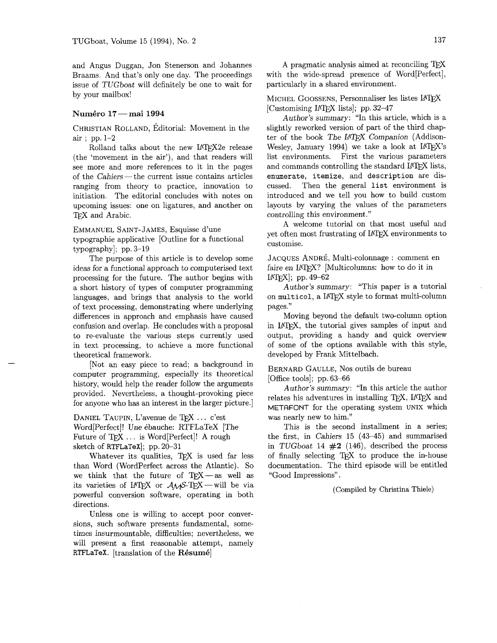and Angus Duggan, Jon Stenerson and Johannes Braams. And that's only one day. The proceedings issue of TUGboat will definitely be one to wait for by your mailbox!

#### Numkro **17** - mai **<sup>1994</sup>**

CHRISTIAN ROLLAND, Éditorial: Movement in the air ; pp. 1-2

Rolland talks about the new LATEX2e release (the 'movement in the air'), and that readers will see more and more references to it in the pages<br>of the Cahiers — the current issue contains articles<br>nonging from theory to prectice innermine to ranging from theory to practice, innovation to initiation. The editorial concludes with notes on upcoming issues: one on ligatures, and another on TFX and Arabic.

EMMANUEL SAINT-JAMES, Esquisse d'une

typographie applicative [Outline for a functional typography]; pp. 3-19

The purpose of this article is to develop some ideas for a functional approach to computerised text processing for the future. The author begins with a short history of types of computer programming languages, and brings that analysis to the world of text processing, demonstrating where underlying differences in approach and emphasis have caused confusion and overlap. He concludes with a proposal to re-evaluate the various steps currently used in text processing, to achieve a more functional theoretical framework.

[Not an easy piece to read; a background in computer programming, especially its theoretical history, would help the reader follow the arguments provided. Nevertheless, a thought-provoking piece for anyone who has an interest in the larger picture.]

DANIEL TAUPIN, L'avenue de TFX ... c'est Word[Perfect]! Une 6bauche: RTFLaTeX [The Future of TFX ... is Word[Perfect]! A rough sketch of RTFLaTeX]; pp. 20-31

Whatever its qualities, TEX is used far less than Word (Wordperfect across the Atlantic). So we think that the future of TEX--as well as its varieties of IATEX or  $A_{\mathcal{M}}S$ -TEX - will be via powerful conversion software, operating in both directions.

Unless one is willing to accept poor conversions, such software presents fundamental, sometimes insurmountable, difficulties; nevertheless, we will present a first reasonable attempt, namely RTFLaTeX. [translation of the Résumé]

A pragmatic analysis aimed at reconciling with the wide-spread presence of Word[Perfect], particularly in a shared environment.

MICHEL GOOSSENS, Personnaliser les listes LATEX [Customising IAT<sub>F</sub>X lists]; pp. 32-47

Author's summary: "In this article, which is a slightly reworked version of part of the third chapter of the book The *IATFX* Companion (Addison-Wesley, January 1994) we take a look at IATEX's list environments. First the various parameters and commands controlling the standard IAT<sub>F</sub>X lists, enumerate, itemize, and description are discussed. Then the general list environment is introduced and we tell you how to build custom layouts by varying the values of the parameters controlling this environment."

A welcome tutorial on that most useful and yet often most frustrating of IAT<sub>F</sub>X environments to customise.

JACQUES ANDRÉ, Multi-colonnage : comment en faire en LATEX? [Multicolumns: how to do it in  $[ATFX]$ ; pp. 49-62

Author's summary: "This paper is a tutorial on multicol, a LATFX style to format multi-column pages.''

Moving beyond the default two-column option in LATEX, the tutorial gives samples of input and output, providing a handy and quick overview of some of the options available with this style, developed by Frank Mittelbach.

#### BERNARD GAULLE, NOS outils de bureau [Office tools]; pp. 63-66

Author's summary: "In this article the author relates his adventures in installing TEX, LATEX and METAFONT for the operating system UNIX which was nearly new to him."

This is the second installment in a series; the first, in Cahiers 15 (43-45) and summarised in TUGboat 14  $#2$  (146), described the process of finally selecting T<sub>E</sub>X to produce the in-house documentation. The third episode will be entitled "Good Impressions".

(Compiled by Christina Thiele)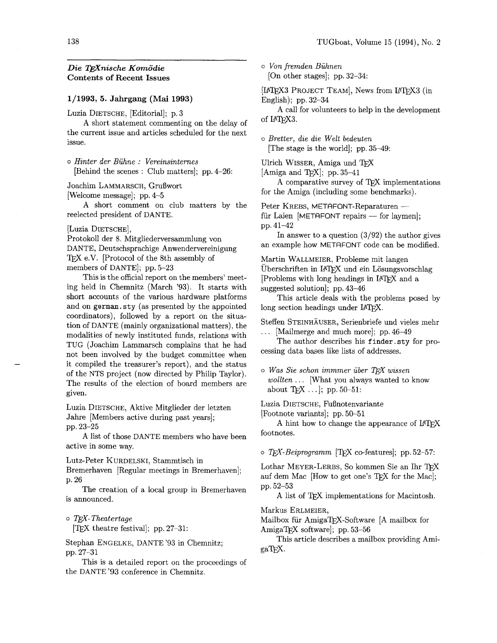### *Die Wnische Komodie*  **Contents of Recent Issues**

#### **1/1993, 5. Jahrgang (Mai 1993)**

Luzia DIETSCHE, [Editorial]; p. 3

A short statement commenting on the delay of the current issue and articles scheduled for the next issue.

<sup>0</sup>*Hinter der Biihne* : *Vereinsinternes*  [Behind the scenes : Club matters]; pp. 4-26:

Joachim LAMMARSCH, Grußwort

[Welcome message]; pp. 4-5

A short comment on club matters by the reelected president of DANTE.

#### [Luzia DIETSCHE],

Protokoll der 8. Mitgliederversammlung von DANTE, Deutschsprachige Anwendervereinigung T<sub>F</sub>X e.V. [Protocol of the 8th assembly of members of DANTE]; pp. 5-23

This is the official report on the members' meeting held in Chemnitz (March '93). It starts with short accounts of the various hardware platforms and on **german.** sty (as presented by the appointed coordinators), followed by a report on the situation of DANTE (mainly organizational matters), the modalities of newly instituted funds, relations with TUG (Joachim Lammarsch complains that he had not been involved by the budget committee when it compiled the treasurer's report), and the status of the NTS project (now directed by Philip Taylor). The results of the election of board members are given.

Luzia DIETSCHE, Aktive Mitglieder der letzten Jahre [Members active during past years]; pp. 23-25

A list of those DANTE members who have been active in some way.

Lutz-Peter KURDELSKI, Stammtisch in Bremerhaven [Regular meetings in Bremerhaven]; p. 26

The creation of a local group in Bremerhaven is announced.

0 TEX-Theatertage **[TEX** theatre festival]; pp. 27-31:

Stephan ENGELKE, DANTE '93 in Chemnitz; pp. 27-31

This is a detailed report on the proceedings of the DANTE **'93** conference in Chemnitz.

o *Von fremden Biihnen*  [On other stages]; pp. 32-34:

[LAT<sub>F</sub>X3 PROJECT TEAM], News from LAT<sub>F</sub>X3 (in English); pp. 32-34

A call for volunteers to help in the development of LAT<sub>E</sub>X3.

o *Bretter, die die Welt bedeuten*  [The stage is the world]; pp. 35-49:

Ulrich WISSER, Amiga und

[Amiga and T<sub>F</sub>X]; pp. 35–41

A comparative survey of TFX implementations

for the Amiga (including some benchmarks).<br>Peter KREBS, METAFONT-Reparaturen —<br>für Leian (METOFONT repairs) – for largest Peter KREBS, METAFONT-Reparaturen —<br>für Laien [METAFONT repairs — for laymen]; pp. 41-42

In answer to a question  $(3/92)$  the author gives an example how METAFONT code can be modified.

Martin WALLMEIER, Probleme mit langen Überschriften in IATFX und ein Lösungsvorschlag [Problems with long headings in LATFX and a suggested solution]; pp. 43-46

This article deals with the problems posed by long section headings under IATEX.

Steffen STEINHAUSER, Serienbriefe und vieles mehr . . . [Mailmerge and much more]; pp. 46-49

The author describes his finder . sty for processing data bases like lists of addresses.

*o Was Sze schon immmer iiber* l&X *wissen wollten* . . . [What you always wanted to know about  $Tr[X \dots]$ ; pp. 50-51:

Luzia DIETSCHE, Fußnotenvariante

[Footnote variants]; pp. 50–51

A hint how to change the appearance of IATEX footnotes.

*o* TEX-Beiprogramm [TEX co-features]; pp. 52-57:

Lothar MEYER-LERBS, So kommen Sie an Ihr TFX auf dem Mac [How to get one's TEX for the Mac]; pp. 52-53

A list of TEX implementations for Macintosh.

Markus ERLMEIER,

Mailbox für AmigaTFX-Software [A mailbox for Amiga $TrX$  software]; pp. 53-56

This article describes a mailbox providing Ami $gaTEX.$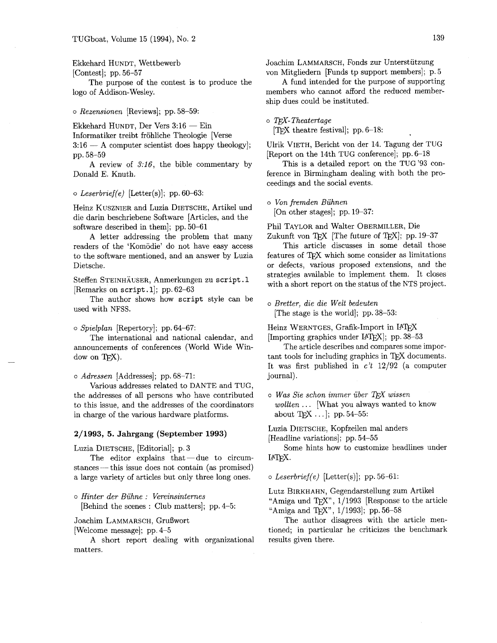#### Ekkehard HUNDT, Wettbewerb

[Contest]; pp. 56-57

The purpose of the contest is to produce the logo of Addison-Wesley.

*o Rezensionen* [Reviews]; pp. 58-59:

Ekkehard HUNDT, Der Vers  $3:16$  - Ein

Informatiker treibt fröhliche Theologie [Verse

 $3:16$  - A computer scientist does happy theology]; pp. 58-59

A review of *3:16,* the bible commentary by Donald E. Knuth.

#### *o Leserbrief(e)* [Letter(s)]; pp. 60-63:

Heinz KUSZNIER and Luzia DIETSCHE, Artikel und die darin beschriebene Software [Articles, and the software described in them]; pp. 50-61

A letter addressing the problem that many readers of the 'Komodie' do not have easy access to the software mentioned, and an answer by Luzia Dietsche.

Steffen STEINHAUSER, Anmerkungen zu script. **1**  [Remarks on script.1]; pp. 62-63

The author shows how script style can be used with NFSS.

#### o *Spielplan* [Repertory]; pp. 64-67:

The international and national calendar, and announcements of conferences (World Wide Window on TEX).

o *Adressen* [Addresses]; pp. 68-71:

Various addresses related to DANTE and TUG, the addresses of all persons who have contributed to this issue, and the addresses of the coordinators in charge of the various hardware platforms.

#### **2/1993, 5. Jahrgang (September 1993)**

Luzia DIETSCHE, [Editorial]; p. 3

The editor explains that $-\text{due}$  to circumstances- this issue does not contain **(as** promised) a large variety of articles but only three long ones.

<sup>o</sup>*Hinter der Biihne* : *Vereinsinternes* 

[Behind the scenes : Club matters]; pp. 4-5:

Joachim LAMMARSCH, Grußwort

[Welcome message]; pp. 4-5

A short report dealing with organizational matters.

Joachim LAMMARSCH, Fonds zur Unterstutzung von Mitgliedern [Funds tp support members]; p. 5

A fund intended for the purpose of supporting members who cannot afford the reduced membership dues could be instituted.

o T<sub>E</sub>X-Theatertage<br>[T<sub>E</sub>X theatre festival]; pp. 6-18:

Ulrik VIETH, Bericht von der 14. Tagung der TUG [Report on the 14th TUG conference]; pp. 6-18

This is a detailed report on the TUG'93 conference in Birmingham dealing with both the proceedings and the social events.

*o Von fremden Biihnen* 

[On other stages]; pp. 19-37:

Phil TAYLOR and Walter OBERMILLER, Die Zukunft von TEX [The future of TEX]; pp.  $19-37$ 

This article discusses in some detail those features of TFX which some consider as limitations or defects, various proposed extensions, and the strategies available to implement them. It closes with a short report on the status of the NTS project.

o *Bretter, die die Welt bedeuten*  [The stage is the world]; pp. 38-53:

Heinz WERNTGES, Grafik-Import in IATFX [Importing graphics under IATEX]; pp. 38-53

The article describes and compares some important tools for including graphics in TFX documents. It **was** first published in *c't* 12/92 (a computer journal).

 $\circ$  *Was Sie schon immer über TFX wissen wollten* . . . [What you always wanted to know about T<sub>E</sub>X . . .  $|;$  pp. 54-55:

Luzia DIETSCHE, Kopfzeilen ma1 anders

[Headline variations]; pp. 54-55

Some hints how to customize headlines under IAT<sub>EX</sub>.

#### *o Leserbrief(e)* [Letter(s)]; pp. 56-61:

Lutz BIRKHAHN, Gegendarstellung zum Artikel Lutz BIRKHAHN, Gegendarstellung zum Artikel<br>"Amiga und TEX", 1/1993 [Response to the article "Amiga und TEX", 1/1993 [Response "Amiga and TEX", 1/1993]; pp. 56–58

The author disagrees with the article mentioned; in particular he criticizes the benchmark results given there.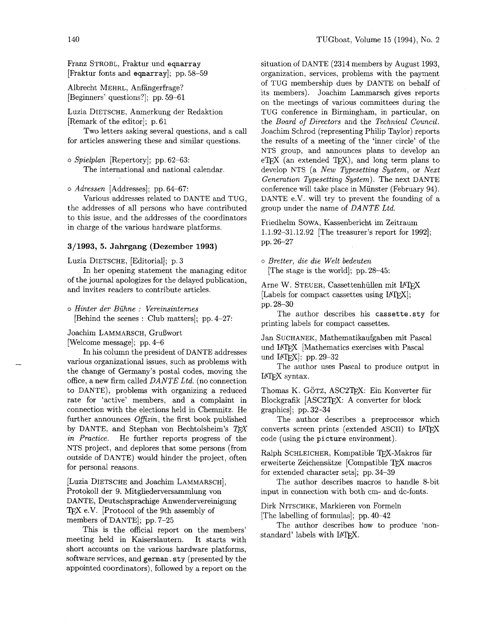Franz STROBL, Fraktur und eqnarray [Fraktur fonts and eqnarray]; pp. 58-59

Albrecht MEHRL, Anfangerfrage? [Beginners' questions?]; pp. 59-61

Luzia DIETSCHE, Anmerkung der Redaktion [Remark of the editor]; p. 61

Two letters asking several questions, and a call for articles answering these and similar questions.

o *Spielplan* [Repertory]; pp. 62-63: The international and national calendar.

*o Adressen* [Addresses]; pp. 64-67:

Various addresses related to DANTE and TUG, the addresses of all persons who have contributed to this issue, and the addresses of the coordinators in charge of the various hardware platforms.

#### **3/1993, 5. Jahrgang (Dezember 1993)**

Luzia DIETSCHE, [Editorial]; p. 3

In her opening statement the managing editor of the journal apologizes for the delayed publication, and invites readers to contribute articles.

<sup>o</sup>*Hinter der Buhne* : *Vereinsinternes*  [Behind the scenes : Club matters]; pp. 4-27:

Joachim LAMMARSCH, Grußwort

[Welcome message]; pp. 4-6

In his column the president of DANTE addresses various organizational issues, such as problems with the change of Germany's postal codes, moving the office, a new firm called *DANTE Ltd.* (no connection to DANTE), problems with organizing a reduced rate for 'active' members, and a complaint in connection with the elections held in Chemnitz. He further announces *Ofizin,* the first book published by DANTE, and Stephan von Bechtolsheim's  $T \cancel{F} X$ *in Practice.* He further reports progress of the NTS project, and deplores that some persons (from outside of DANTE) would hinder the project, often for personal reasons.

[Luzia DIETSCHE and Joachim LAMMARSCH], Protokoll der 9. Mitgliederversammlung von DANTE, Deutschsprachige Anwendervereinigung TEX e.V. [Protocol of the 9th assembly of members of DANTE]; pp. 7-25

This is the official report on the members' meeting held in Kaiserslautern. It starts with short accounts on the various hardware platforms, software services, and german. sty (presented by the appointed coordinators), followed by a report on the situation of DANTE (2314 members by August 1993, organization, services, problems with the payment of TUG membership dues by DANTE on behalf of its members). Joachim Lammarsch gives reports on the meetings of various committees during the TUG conference in Birmingham, in particular, on the *Board of Directors* and the *Technical Council.*  Joachim Schrod (representing Philip Taylor) reports the results of a meeting of the 'inner circle' of the NTS group, and announces plans to develop an  $e$ TEX (an extended TEX), and long term plans to develop NTS (a *New Typesetting System,* or *Next Generation Typesetting System).* The next DANTE conference will take place in Münster (February 94). DANTE e.V. will try to prevent the founding of a group under the name of *DANTE Ltd.* 

Friedhelm SOWA, Kassenbericht im Zeitraum 1.1.92-31.12.92 [The treasurer's report for 19921; pp. 26-27

*o Bretter, die die Welt bedeuten*  [The stage is the world]; pp. 28-45:

Arne W. STEUER, Cassettenhüllen mit IATFX [Labels for compact cassettes using IATFX]; pp. 28-30

The author describes his cassette. sty for printing labels for compact cassettes.

Jan SUCHANEK, Mathematikaufgaben mit Pascal und IATFX [Mathematics exercises with Pascal und  $\text{LATEX}$ ; pp. 29-32

The author uses Pascal to produce output in LATFX syntax.

Thomas K. GÖTZ, ASC2TFX: Ein Konverter für Blockgrafik [ASC2T<sub>E</sub>X: A converter for block graphics]; pp. 32-34

The author describes a preprocessor which converts screen prints (extended ASCII) to LA' code (using the picture environment).

Ralph SCHLEICHER, Kompatible TFX-Makros für erweiterte Zeichensätze [Compatible TFX macros for extended character sets]; pp. 34-39

The author describes macros to handle 8-bit input in connection with both cm- and dc-fonts.

Dirk NITSCHKE, Markieren von Formeln

[The labelling of formulas]; pp. 40-42

The author describes how to produce 'nonstandard' labels with LATEX.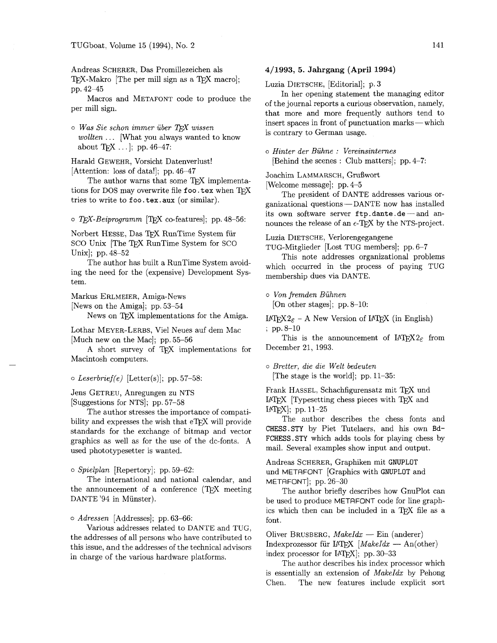Andreas SCHERER, Das Promillezeichen als TEX-Makro [The per mill sign as a TEX macro]; pp. 42-45

Macros and METAFONT code to produce the per mill sign.

o *Was Sie schon immer uber T&f wissen wollten* . . . [What you always wanted to know about  $Tr[X \dots]$ ; pp. 46-47:

Harald GEWEHR, Vorsicht Datenverlust! [Attention: loss of data!]; pp. 46-47

The author warns that some TFX implementations for DOS may overwrite file **foo.tex** when TFX tries to write to foo.tex.aux (or similar).

o TEX-Beiprogramm [TEX co-features]; pp. 48-56:

Norbert HESSE, Das TFX RunTime System für SCO Unix [The TFX RunTime System for SCO Unix]; pp. 48-52

The author has built a RunTime System avoiding the need for the (expensive) Development System.

Markus ERLMEIER, Amiga-News

[News on the Amiga]; pp. 53-54

News on TEX implementations for the Amiga.

Lothar MEYER-LERBS, Vie1 Neues auf dem Mac [Much new on the Mac]; pp. 55-56

A short survey of TFX implementations for Macintosh computers.

#### o *Leserbrief(e)* [Letter(s)]; pp. 57-58:

Jens GETREU, Anregungen zu NTS [Suggestions for NTS]; pp. 57-58

The author stresses the importance of compatibility and expresses the wish that eT<sub>F</sub>X will provide standards for the exchange of bitmap and vector graphics as well as for the use of the dc-fonts. A used phototypesetter is wanted.

o *Spielplan* [Repertory]; pp. 59-62:

The international and national calendar, and the announcement of a conference  $(T F X$  meeting DANTE '94 in Münster).

0 *Adressen* [Addresses]; pp. 63-66:

Various addresses related to DANTE and TUG, the addresses of all persons who have contributed to this issue, and the addresses of the technical advisors in charge of the various hardware platforms.

#### **4/1993, 5. Jahrgang (April 1994)**

Luzia DIETSCHE, [Editorial]; p. 3

In her opening statement the managing editor of the journal reports a curious observation, namely, that more and more frequently authors tend to of the journal reports a curious observation, namely,<br>that more and more frequently authors tend to<br>insert spaces in front of punctuation marks — which is contrary to German usage.

*<sup>o</sup>Hinter der Buhne* : *Vereinsinternes* 

[Behind the scenes : Club matters]; pp. 4-7:

Joachim LAMMARSCH, Grufiwort

[Welcome message]; pp. 4-5

The president of DANTE addresses various or $ganizational questions - DANTE now has installed$ its own software server ftp.dante.de-and announces the release of an  $\epsilon$ -TFX by the NTS-project.

Luzia DIETSCHE, Verlorengegangene

TUG-Mitglieder [Lost TUG members]; pp. 6-7

This note addresses organizational problems which occurred in the process of paying TUG membership dues via DANTE.

*o Von fremden Buhnen* 

[On other stages]; pp. 8-10:

LAT<sub>F</sub>X2<sub> $\epsilon$ </sub> - A New Version of LAT<sub>F</sub>X (in English) ; pp.  $8-10$ 

This is the announcement of  $\text{IATF}X2_{\epsilon}$  from December 21, 1993.

o *Bretter, die die Welt bedeuten*  [The stage is the world]; pp. 11-35:

Frank HASSEL, Schachfigurensatz mit TFX und LATEX [Typesetting chess pieces with TEX and  $[ATFX]$ ; pp. 11-25

The author describes the chess fonts and CHESS.STY by Piet Tutelaers, and his own Bd-FCHESS .STY which adds tools for playing chess by mail. Several examples show input and output.

Andreas SCHERER, Graphiken mit GNUPLOT und METAFONT [Graphics with GNUPLOT and METAFONT]; pp. 26-30

The author briefly describes how GnuPlot can be used to produce METAFONT code for line graphics which then can be included in a TFX file as a font.

Oliver BRUSBERG, *MakeIdx* — Ein (anderer) Indexprozessor für IATFX *[MakeIdx —* An(other) index processor for IATEX]; pp. 30-33

The author describes his index processor which is essentially an extension of *MakeIdx* by Pehong Chen. The new features include explicit sort